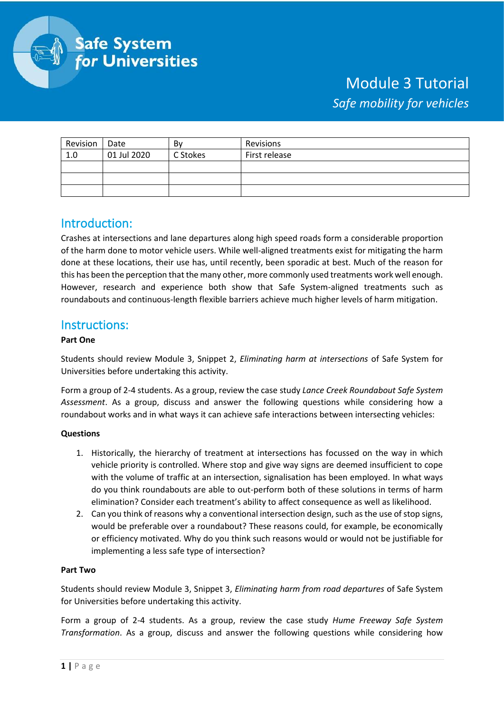

# Module 3 Tutorial *Safe mobility for vehicles*

| Revision | Date        | Bv       | Revisions     |
|----------|-------------|----------|---------------|
| 1.0      | 01 Jul 2020 | C Stokes | First release |
|          |             |          |               |
|          |             |          |               |
|          |             |          |               |

## Introduction:

Crashes at intersections and lane departures along high speed roads form a considerable proportion of the harm done to motor vehicle users. While well-aligned treatments exist for mitigating the harm done at these locations, their use has, until recently, been sporadic at best. Much of the reason for this has been the perception that the many other, more commonly used treatments work well enough. However, research and experience both show that Safe System-aligned treatments such as roundabouts and continuous-length flexible barriers achieve much higher levels of harm mitigation.

### Instructions:

#### **Part One**

Students should review Module 3, Snippet 2, *Eliminating harm at intersections* of Safe System for Universities before undertaking this activity.

Form a group of 2-4 students. As a group, review the case study *Lance Creek Roundabout Safe System Assessment*. As a group, discuss and answer the following questions while considering how a roundabout works and in what ways it can achieve safe interactions between intersecting vehicles:

#### **Questions**

- 1. Historically, the hierarchy of treatment at intersections has focussed on the way in which vehicle priority is controlled. Where stop and give way signs are deemed insufficient to cope with the volume of traffic at an intersection, signalisation has been employed. In what ways do you think roundabouts are able to out-perform both of these solutions in terms of harm elimination? Consider each treatment's ability to affect consequence as well as likelihood.
- 2. Can you think of reasons why a conventional intersection design, such as the use of stop signs, would be preferable over a roundabout? These reasons could, for example, be economically or efficiency motivated. Why do you think such reasons would or would not be justifiable for implementing a less safe type of intersection?

#### **Part Two**

Students should review Module 3, Snippet 3, *Eliminating harm from road departures* of Safe System for Universities before undertaking this activity.

Form a group of 2-4 students. As a group, review the case study *Hume Freeway Safe System Transformation*. As a group, discuss and answer the following questions while considering how